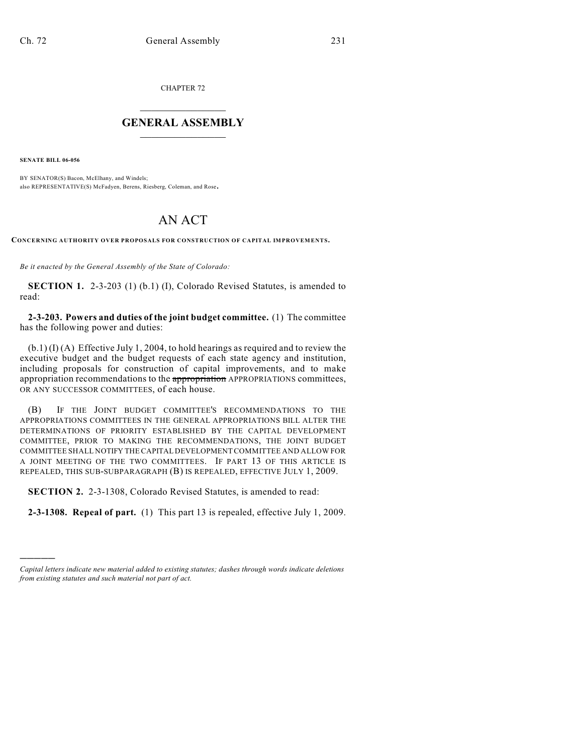CHAPTER 72

## $\overline{\phantom{a}}$  . The set of the set of the set of the set of the set of the set of the set of the set of the set of the set of the set of the set of the set of the set of the set of the set of the set of the set of the set o **GENERAL ASSEMBLY**  $\frac{1}{\sqrt{2}}$

**SENATE BILL 06-056**

)))))

BY SENATOR(S) Bacon, McElhany, and Windels; also REPRESENTATIVE(S) McFadyen, Berens, Riesberg, Coleman, and Rose.

## AN ACT

**CONCERNING AUTHORITY OVER PROPOSALS FOR CONSTRUCTION OF CAPITAL IMPROVEMENTS.**

*Be it enacted by the General Assembly of the State of Colorado:*

**SECTION 1.** 2-3-203 (1) (b.1) (I), Colorado Revised Statutes, is amended to read:

**2-3-203. Powers and duties of the joint budget committee.** (1) The committee has the following power and duties:

(b.1) (I) (A) Effective July 1, 2004, to hold hearings as required and to review the executive budget and the budget requests of each state agency and institution, including proposals for construction of capital improvements, and to make appropriation recommendations to the appropriation APPROPRIATIONS committees, OR ANY SUCCESSOR COMMITTEES, of each house.

(B) IF THE JOINT BUDGET COMMITTEE'S RECOMMENDATIONS TO THE APPROPRIATIONS COMMITTEES IN THE GENERAL APPROPRIATIONS BILL ALTER THE DETERMINATIONS OF PRIORITY ESTABLISHED BY THE CAPITAL DEVELOPMENT COMMITTEE, PRIOR TO MAKING THE RECOMMENDATIONS, THE JOINT BUDGET COMMITTEE SHALL NOTIFY THE CAPITAL DEVELOPMENT COMMITTEE AND ALLOW FOR A JOINT MEETING OF THE TWO COMMITTEES. IF PART 13 OF THIS ARTICLE IS REPEALED, THIS SUB-SUBPARAGRAPH (B) IS REPEALED, EFFECTIVE JULY 1, 2009.

**SECTION 2.** 2-3-1308, Colorado Revised Statutes, is amended to read:

**2-3-1308. Repeal of part.** (1) This part 13 is repealed, effective July 1, 2009.

*Capital letters indicate new material added to existing statutes; dashes through words indicate deletions from existing statutes and such material not part of act.*